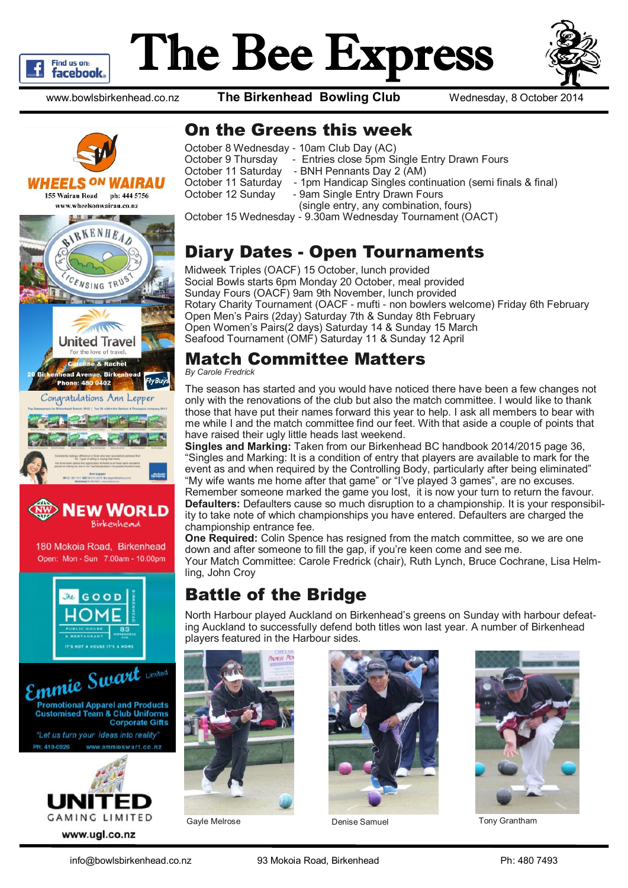

# The Bee Express



www.bowlsbirkenhead.co.nz **The Birkenhead Bowling Club** Wednesday, 8 October 2014





Open: Mon - Sun 7.00am - 10.00pm





#### On the Greens this week

| October 8 Wednesday - 10am Club Day (AC)                                         |
|----------------------------------------------------------------------------------|
| - Entries close 5pm Single Entry Drawn Fours<br>October 9 Thursday               |
| October 11 Saturday<br>- BNH Pennants Day 2 (AM)                                 |
| October 11 Saturday<br>- 1pm Handicap Singles continuation (semi finals & final) |
| October 12 Sunday<br>- 9am Single Entry Drawn Fours                              |
| (single entry, any combination, fours)                                           |
| October 15 Wednesday - 9.30am Wednesday Tournament (OACT)                        |

#### Diary Dates - Open Tournaments

Midweek Triples (OACF) 15 October, lunch provided Social Bowls starts 6pm Monday 20 October, meal provided Sunday Fours (OACF) 9am 9th November, lunch provided Rotary Charity Tournament (OACF - mufti - non bowlers welcome) Friday 6th February Open Men's Pairs (2day) Saturday 7th & Sunday 8th February Open Women's Pairs(2 days) Saturday 14 & Sunday 15 March Seafood Tournament (OMF) Saturday 11 & Sunday 12 April

#### Match Committee Matters

*By Carole Fredrick*

The season has started and you would have noticed there have been a few changes not only with the renovations of the club but also the match committee. I would like to thank those that have put their names forward this year to help. I ask all members to bear with me while I and the match committee find our feet. With that aside a couple of points that have raised their ugly little heads last weekend.

**Singles and Marking:** Taken from our Birkenhead BC handbook 2014/2015 page 36, "Singles and Marking: It is a condition of entry that players are available to mark for the event as and when required by the Controlling Body, particularly after being eliminated" "My wife wants me home after that game" or "I've played 3 games", are no excuses. Remember someone marked the game you lost, it is now your turn to return the favour. **Defaulters:** Defaulters cause so much disruption to a championship. It is your responsibility to take note of which championships you have entered. Defaulters are charged the championship entrance fee.

**One Required:** Colin Spence has resigned from the match committee, so we are one down and after someone to fill the gap, if you're keen come and see me. Your Match Committee: Carole Fredrick (chair), Ruth Lynch, Bruce Cochrane, Lisa Helmling, John Croy

#### Battle of the Bridge

North Harbour played Auckland on Birkenhead's greens on Sunday with harbour defeating Auckland to successfully defend both titles won last year. A number of Birkenhead players featured in the Harbour sides.







Gayle Melrose **Denise Samuel Communist Conventse Samuel** Tony Grantham